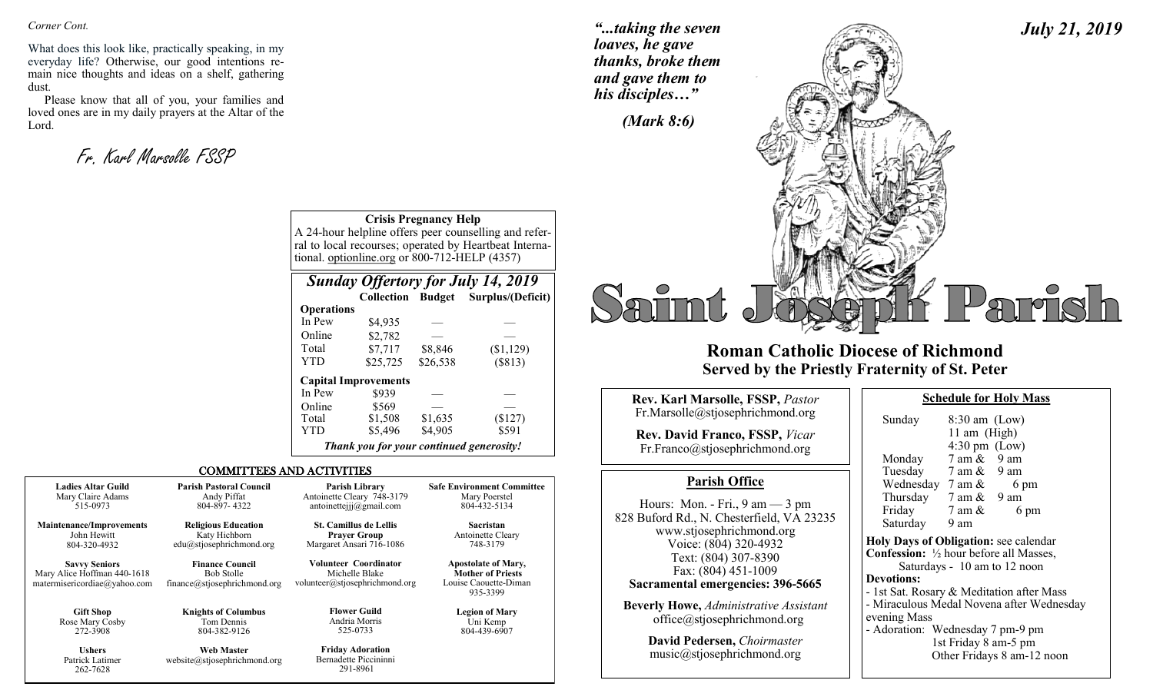*Corner Cont.* 

What does this look like, practically speaking, in my everyday life? Otherwise, our good intentions remain nice thoughts and ideas on a shelf, gathering dust.

Please know that all of you, your families and loved ones are in my daily prayers at the Altar of the Lord.

Fr. Karl Marsolle FSSP

Patrick Latimer 262-7628

*"...taking the seven loaves, he gave thanks, broke them and gave them to his disciples…"*

*July 21, 2019*



## **Roman Catholic Diocese of Richmond Served by the Priestly Fraternity of St. Peter**

| Rev. Karl Marsolle, FSSP, Pastor                                                                 | <b>Schedule for Holy Mass</b>                                                                                         |
|--------------------------------------------------------------------------------------------------|-----------------------------------------------------------------------------------------------------------------------|
| Fr.Marsolle@stjosephrichmond.org                                                                 | $8:30$ am (Low)<br>Sunday                                                                                             |
| <b>Rev. David Franco, FSSP, Vicar</b><br>Fr.Franco@stjosephrichmond.org                          | 11 am $(High)$<br>$4:30 \text{ pm}$ (Low)<br>7 am &<br>9 am<br>Monday                                                 |
| <b>Parish Office</b>                                                                             | Tuesday 7 am & 9 am<br>Wednesday $7 \text{ am } \&$<br>6 pm                                                           |
| Hours: Mon. - Fri., $9 \text{ am} - 3 \text{ pm}$<br>828 Buford Rd., N. Chesterfield, VA 23235   | Thursday $7 \text{ am } \& 9 \text{ am}$<br>Friday<br>7 am &<br>6 pm<br>Saturday<br>9 am                              |
| www.stjosephrichmond.org<br>Voice: (804) 320-4932<br>Text: (804) 307-8390<br>Fax: (804) 451-1009 | Holy Days of Obligation: see calenda<br><b>Confession:</b> 1/2 hour before all Masses<br>Saturdays - 10 am to 12 noon |
| Sacramental emergencies: 396-5665<br><b>Beverly Howe, Administrative Assistant</b>               | <b>Devotions:</b><br>- 1st Sat. Rosary & Meditation after M<br>- Miraculous Medal Novena after Wed                    |
| office@stjosephrichmond.org                                                                      | evening Mass                                                                                                          |

**David Pedersen,** *Choirmaster* music@stjosephrichmond.org

| Sunday                                                   | $8:30$ am (Low)                                                                                   |                                           |
|----------------------------------------------------------|---------------------------------------------------------------------------------------------------|-------------------------------------------|
|                                                          | 11 am (High)                                                                                      |                                           |
|                                                          | $4:30 \text{ pm}$ (Low)                                                                           |                                           |
| Monday                                                   | $7 \text{ am } \& 9 \text{ am}$                                                                   |                                           |
| Tuesday                                                  | $7 \text{ am } \& 9 \text{ am}$                                                                   |                                           |
| Wednesday $7 \text{ am } \&$                             |                                                                                                   | 6 pm                                      |
| Thursday $7 \text{ am } \& 9 \text{ am}$                 |                                                                                                   |                                           |
| Friday                                                   | 7 am &                                                                                            | 6 pm                                      |
| Saturday                                                 | 9 am                                                                                              |                                           |
| Holy Days of Obligation: see calendar                    |                                                                                                   |                                           |
| <b>Confession:</b> $\frac{1}{2}$ hour before all Masses, |                                                                                                   |                                           |
|                                                          |                                                                                                   | Saturdays - 10 am to 12 noon              |
| <b>Devotions:</b>                                        |                                                                                                   |                                           |
| - 1st Sat. Rosary & Meditation after Mass                |                                                                                                   |                                           |
|                                                          |                                                                                                   | - Miraculous Medal Novena after Wednesday |
| evening Mass                                             |                                                                                                   |                                           |
| - Adoration: Wednesday 7 pm-9 pm                         |                                                                                                   |                                           |
|                                                          | $1_{\alpha}$ $\epsilon$ $\Gamma$ $\omega$ $\Delta$ $\alpha$ $\epsilon$ $\Omega$ $\alpha$ $\alpha$ |                                           |

1st Friday 8 am-5 pm Other Fridays 8 am-12 noon

**Crisis Pregnancy Help** A 24-hour helpline offers peer counselling and referral to local recourses; operated by Heartbeat International. optionline.org or 800-712-HELP (4357)

| <b>Sunday Offertory for July 14, 2019</b> |                                          |          |                   |  |
|-------------------------------------------|------------------------------------------|----------|-------------------|--|
|                                           | <b>Collection Budget</b>                 |          | Surplus/(Deficit) |  |
| <b>Operations</b>                         |                                          |          |                   |  |
| In Pew                                    | \$4,935                                  |          |                   |  |
| Online                                    | \$2,782                                  |          |                   |  |
| Total                                     | \$7,717                                  | \$8,846  | (\$1,129)         |  |
| <b>YTD</b>                                | \$25,725                                 | \$26,538 | (\$813)           |  |
|                                           | <b>Capital Improvements</b>              |          |                   |  |
| In Pew                                    | \$939                                    |          |                   |  |
| Online                                    | \$569                                    |          |                   |  |
| Total                                     | \$1,508                                  | \$1,635  | (\$127)           |  |
| YTD                                       | \$5,496                                  | \$4,905  | \$591             |  |
|                                           | Thank you for your continued generosity! |          |                   |  |

#### COMMITTEES AND ACTIVITIES

| <b>Ladies Altar Guild</b>                                                           | <b>Parish Pastoral Council</b>                                              | <b>Parish Library</b>                                                            | <b>Safe Environment Committee</b>                                                           |
|-------------------------------------------------------------------------------------|-----------------------------------------------------------------------------|----------------------------------------------------------------------------------|---------------------------------------------------------------------------------------------|
| Mary Claire Adams                                                                   | Andy Piffat                                                                 | Antoinette Cleary 748-3179                                                       | Mary Poerstel                                                                               |
| 515-0973                                                                            | 804-897-4322                                                                | antoinettejjj $@g$ mail.com                                                      | 804-432-5134                                                                                |
| <b>Maintenance/Improvements</b>                                                     | <b>Religious Education</b>                                                  | <b>St. Camillus de Lellis</b>                                                    | Sacristan                                                                                   |
| John Hewitt                                                                         | Katy Hichborn                                                               | <b>Prayer Group</b>                                                              | Antoinette Cleary                                                                           |
| 804-320-4932                                                                        | edu@stjosephrichmond.org                                                    | Margaret Ansari 716-1086                                                         | 748-3179                                                                                    |
| <b>Savvy Seniors</b><br>Mary Alice Hoffman 440-1618<br>matermisericordiae@yahoo.com | <b>Finance Council</b><br><b>Bob Stolle</b><br>finance@stjosephrichmond.org | <b>Volunteer Coordinator</b><br>Michelle Blake<br>volunteer@stjosephrichmond.org | <b>Apostolate of Mary,</b><br><b>Mother of Priests</b><br>Louise Caouette-Diman<br>935-3399 |
| <b>Gift Shop</b>                                                                    | <b>Knights of Columbus</b>                                                  | <b>Flower Guild</b>                                                              | <b>Legion of Mary</b>                                                                       |
| Rose Mary Cosby                                                                     | Tom Dennis                                                                  | Andria Morris                                                                    | Uni Kemp                                                                                    |
| 272-3908                                                                            | 804-382-9126                                                                | 525-0733                                                                         | 804-439-6907                                                                                |
| <b>Ushers</b>                                                                       | <b>Web Master</b>                                                           | <b>Friday Adoration</b>                                                          |                                                                                             |

Bernadette Piccininni 291-8961

website@stjosephrichmond.org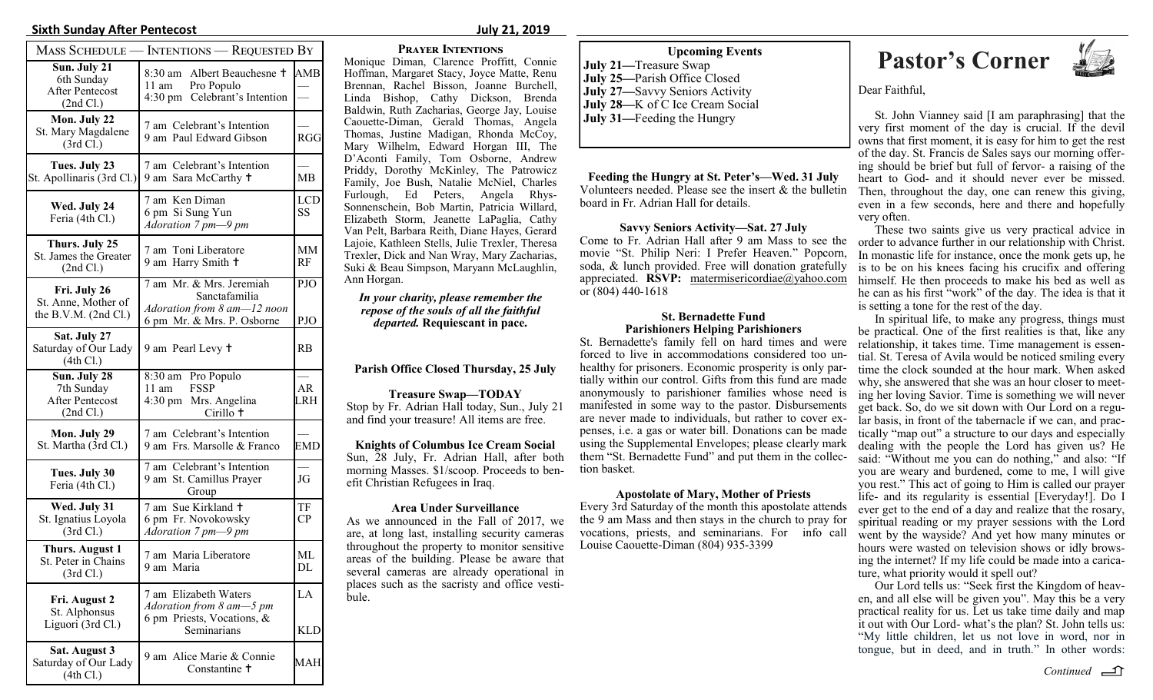#### **Sixth Sunday After Pentecost July 21, 2019**

|                                                                   | <b>MASS SCHEDULE — INTENTIONS — REQUESTED BY</b>                                                         |                                       |
|-------------------------------------------------------------------|----------------------------------------------------------------------------------------------------------|---------------------------------------|
| Sun. July 21<br>6th Sunday<br><b>After Pentecost</b><br>(2nd Cl.) | 8:30 am Albert Beauchesne <sup>†</sup><br>$11 \text{ am}$<br>Pro Populo<br>4:30 pm Celebrant's Intention | AMB                                   |
| Mon. July 22<br>St. Mary Magdalene<br>(3rd Cl.)                   | 7 am Celebrant's Intention<br>9 am Paul Edward Gibson                                                    | RGG                                   |
| Tues. July 23<br>St. Apollinaris (3rd Cl.)                        | 7 am Celebrant's Intention<br>9 am Sara McCarthy +                                                       | MB                                    |
| Wed. July 24<br>Feria (4th Cl.)                                   | 7 am Ken Diman<br>6 pm Si Sung Yun<br>Adoration 7 pm-9 pm                                                | <b>LCD</b><br>SS                      |
| Thurs. July 25<br>St. James the Greater<br>(2nd Cl.)              | 7 am Toni Liberatore<br>9 am Harry Smith +                                                               | MМ<br>RF                              |
| Fri. July 26<br>St. Anne, Mother of<br>the B.V.M. $(2nd Cl.)$     | 7 am Mr. & Mrs. Jeremiah<br>Sanctafamilia<br>Adoration from 8 am-12 noon<br>6 pm Mr. & Mrs. P. Osborne   | PJO<br>PJO                            |
| Sat. July 27<br>Saturday of Our Lady<br>(4th Cl.)                 | 9 am Pearl Levy +                                                                                        | RB                                    |
| Sun. July 28<br>7th Sunday<br><b>After Pentecost</b><br>(2nd Cl.) | 8:30 am Pro Populo<br><b>FSSP</b><br>11 am<br>4:30 pm Mrs. Angelina<br>Cirillo <sup>+</sup>              | $\overline{\phantom{0}}$<br>AR<br>LRH |
| Mon. July 29<br>St. Martha (3rd Cl.)                              | 7 am Celebrant's Intention<br>9 am Frs. Marsolle & Franco                                                | EMD                                   |
| Tues. July 30<br>Feria (4th Cl.)                                  | 7 am Celebrant's Intention<br>9 am St. Camillus Prayer<br>Group                                          | JG                                    |
| Wed. July 31<br>St. Ignatius Loyola<br>(3rd Cl.)                  | 7 am Sue Kirkland +<br>6 pm Fr. Novokowsky<br>Adoration 7 pm-9 pm                                        | TF<br>CP                              |
| <b>Thurs. August 1</b><br>St. Peter in Chains<br>(3rd Cl.)        | 7 am Maria Liberatore<br>9 am Maria                                                                      | ML<br>DL                              |
| Fri. August 2<br>St. Alphonsus<br>Liguori (3rd Cl.)               | 7 am Elizabeth Waters<br>Adoration from 8 am-5 pm<br>6 pm Priests, Vocations, &<br>Seminarians           | LA<br>KLD                             |
| Sat. August 3<br>Saturday of Our Lady<br>(4th Cl.)                | 9 am Alice Marie & Connie<br>Constantine <sup>†</sup>                                                    | MAH                                   |

#### **Prayer Intentions**

Monique Diman, Clarence Proffitt, Connie Hoffman, Margaret Stacy, Joyce Matte, Renu Brennan, Rachel Bisson, Joanne Burchell, Linda Bishop, Cathy Dickson, Brenda Baldwin, Ruth Zacharias, George Jay, Louise Caouette-Diman, Gerald Thomas, Angela Thomas, Justine Madigan, Rhonda McCoy, Mary Wilhelm, Edward Horgan III, The D'Aconti Family, Tom Osborne, Andrew Priddy, Dorothy McKinley, The Patrowicz Family, Joe Bush, Natalie McNiel, Charles Furlough, Ed Peters, Angela Rhys-Sonnenschein, Bob Martin, Patricia Willard, Elizabeth Storm, Jeanette LaPaglia, Cathy Van Pelt, Barbara Reith, Diane Hayes, Gerard Lajoie, Kathleen Stells, Julie Trexler, Theresa Trexler, Dick and Nan Wray, Mary Zacharias, Suki & Beau Simpson, Maryann McLaughlin, Ann Horgan.

#### *In your charity, please remember the repose of the souls of all the faithful departed.* **Requiescant in pace.**

**Parish Office Closed Thursday, 25 July**

**Treasure Swap—TODAY**  Stop by Fr. Adrian Hall today, Sun., July 21 and find your treasure! All items are free.

**Knights of Columbus Ice Cream Social** Sun, 28 July, Fr. Adrian Hall, after both morning Masses. \$1/scoop. Proceeds to benefit Christian Refugees in Iraq.

#### **Area Under Surveillance**

As we announced in the Fall of 2017, we are, at long last, installing security cameras throughout the property to monitor sensitive areas of the building. Please be aware that several cameras are already operational in places such as the sacristy and office vestibule.

### **July 21—**Treasure Swap **July 25—**Parish Office Closed **July 27—**Savvy Seniors Activity **July 28—**K of C Ice Cream Social **July 31—**Feeding the Hungry

**Feeding the Hungry at St. Peter's—Wed. 31 July** Volunteers needed. Please see the insert & the bulletin board in Fr. Adrian Hall for details.

#### **Savvy Seniors Activity—Sat. 27 July**

Come to Fr. Adrian Hall after 9 am Mass to see the movie "St. Philip Neri: I Prefer Heaven." Popcorn, soda, & lunch provided. Free will donation gratefully appreciated. **RSVP:** matermisericordiae@yahoo.com or (804) 440-1618

#### **St. Bernadette Fund Parishioners Helping Parishioners**

St. Bernadette's family fell on hard times and were forced to live in accommodations considered too unhealthy for prisoners. Economic prosperity is only partially within our control. Gifts from this fund are made anonymously to parishioner families whose need is manifested in some way to the pastor. Disbursements are never made to individuals, but rather to cover expenses, i.e. a gas or water bill. Donations can be made using the Supplemental Envelopes; please clearly mark them "St. Bernadette Fund" and put them in the collection basket.

#### **Apostolate of Mary, Mother of Priests**

Every 3rd Saturday of the month this apostolate attends the 9 am Mass and then stays in the church to pray for vocations, priests, and seminarians. For info call Louise Caouette-Diman (804) 935-3399

# **Pastor's Corner**



#### Dear Faithful,

St. John Vianney said [I am paraphrasing] that the very first moment of the day is crucial. If the devil owns that first moment, it is easy for him to get the rest of the day. St. Francis de Sales says our morning offering should be brief but full of fervor- a raising of the heart to God- and it should never ever be missed. Then, throughout the day, one can renew this giving, even in a few seconds, here and there and hopefully very often.

These two saints give us very practical advice in order to advance further in our relationship with Christ. In monastic life for instance, once the monk gets up, he is to be on his knees facing his crucifix and offering himself. He then proceeds to make his bed as well as he can as his first "work" of the day. The idea is that it is setting a tone for the rest of the day.

In spiritual life, to make any progress, things must be practical. One of the first realities is that, like any relationship, it takes time. Time management is essential. St. Teresa of Avila would be noticed smiling every time the clock sounded at the hour mark. When asked why, she answered that she was an hour closer to meeting her loving Savior. Time is something we will never get back. So, do we sit down with Our Lord on a regular basis, in front of the tabernacle if we can, and practically "map out" a structure to our days and especially dealing with the people the Lord has given us? He said: "Without me you can do nothing," and also: "If you are weary and burdened, come to me, I will give you rest." This act of going to Him is called our prayer life- and its regularity is essential [Everyday!]. Do I ever get to the end of a day and realize that the rosary, spiritual reading or my prayer sessions with the Lord went by the wayside? And yet how many minutes or hours were wasted on television shows or idly browsing the internet? If my life could be made into a caricature, what priority would it spell out?

Our Lord tells us: "Seek first the Kingdom of heaven, and all else will be given you". May this be a very practical reality for us. Let us take time daily and map it out with Our Lord- what's the plan? St. John tells us: "My little children, let us not love in word, nor in tongue, but in deed, and in truth." In other words: